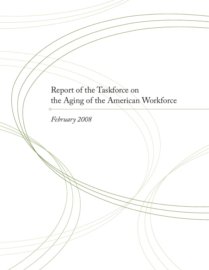Report of the Taskforce on the Aging of the American Workforce

*February 2008*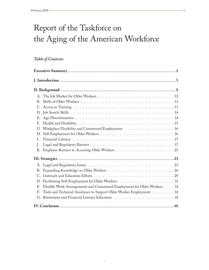# Report of the Taskforce on the Aging of the American Workforce

ò

## *Table of Contents*

| B.                                                                              |  |  |
|---------------------------------------------------------------------------------|--|--|
|                                                                                 |  |  |
|                                                                                 |  |  |
|                                                                                 |  |  |
| F.                                                                              |  |  |
| Workplace Flexibility and Customized Employment 16<br>G                         |  |  |
| Н.                                                                              |  |  |
| Ι.                                                                              |  |  |
| I.                                                                              |  |  |
| К.                                                                              |  |  |
|                                                                                 |  |  |
|                                                                                 |  |  |
| В.                                                                              |  |  |
|                                                                                 |  |  |
| D.                                                                              |  |  |
| Flexible Work Arrangements and Customized Employment for Older Workers. 32<br>E |  |  |
| Tools and Technical Assistance to Support Older Worker Employment 34<br>F.      |  |  |
|                                                                                 |  |  |
|                                                                                 |  |  |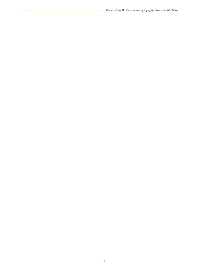*Report of the Taskforce on the Aging of the American Workforce*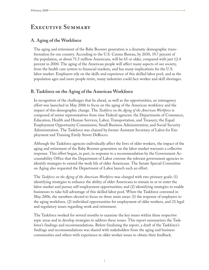## **Executive Summary**

## **A. Aging of the Workforce**

The aging and retirement of the Baby Boomer generation is a dramatic demographic transformation for our country. According to the U.S. Census Bureau, by 2030, 19.7 percent of the population, or about 71.5 million Americans, will be 65 or older, compared with just 12.4 percent in 2000. The aging of the American people will affect many aspects of our society, from the health care system to financial markets, and has many implications for the U.S. labor market. Employers rely on the skills and experience of this skilled labor pool, and as the population ages and more people retire, many industries could face worker and skill shortages.

## **B. Taskforce on the Aging of the American Workforce**

In recognition of the challenges that lie ahead, as well as the opportunities, an interagency effort was launched in May 2006 to focus on the aging of the American workforce and the impact of this demographic change. The *Taskforce on the Aging of the American Workforce* is composed of senior representatives from nine Federal agencies: the Departments of Commerce, Education, Health and Human Services, Labor, Transportation, and Treasury; the Equal Employment Opportunity Commission; Small Business Administration; and Social Security Administration. The Taskforce was chaired by former Assistant Secretary of Labor for Employment and Training Emily Stover DeRocco.

Although the Taskforce agencies individually affect the lives of older workers, the impact of the aging and retirement of the Baby Boomer generation on the labor market warrants a collective response. This effort began, in part, in response to a recommendation by the Government Accountability Office that the Department of Labor convene the relevant government agencies to identify strategies to extend the work life of older Americans. The Senate Special Committee on Aging also requested the Department of Labor launch such an effort.

The *Taskforce on the Aging of the American Workforce* was charged with two primary goals: (1) identifying strategies to enhance the ability of older Americans to remain in or re-enter the labor market and pursue self-employment opportunities; and (2) identifying strategies to enable businesses to take full advantage of this skilled labor pool. When the Taskforce convened in May 2006, the members elected to focus on three main areas: (1) the response of employers to the aging workforce, (2) individual opportunities for employment of older workers, and (3) legal and regulatory issues regarding work and retirement.

The Taskforce worked for several months to examine the key issues within these respective topic areas and to develop strategies to address these issues. This report summarizes the Taskforce's findings and recommendations. Before finalizing the report, a draft of the Taskforce's findings and recommendations was shared with stakeholders from the aging and business communities and others with experience in older worker issues to obtain their feedback.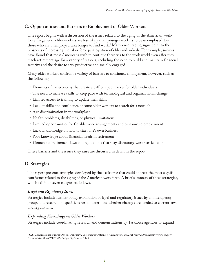## **C. Opportunities and Barriers to Employment of Older Workers**

The report begins with a discussion of the issues related to the aging of the American workforce. In general, older workers are less likely than younger workers to be unemployed, but those who are unemployed take longer to find work.<sup>1</sup> Many encouraging signs point to the prospects of increasing the labor force participation of older individuals. For example, surveys have found that most Americans wish to continue their ties to the work world even after they reach retirement age for a variety of reasons, including the need to build and maintain financial security and the desire to stay productive and socially engaged.

Many older workers confront a variety of barriers to continued employment, however, such as the following:

- Elements of the economy that create a difficult job market for older individuals
- The need to increase skills to keep pace with technological and organizational change
- Limited access to training to update their skills
- Lack of skills and confidence of some older workers to search for a new job
- Age discrimination in the workplace
- • Health problems, disabilities, or physical limitations
- • Limited opportunities for flexible work arrangements and customized employment
- Lack of knowledge on how to start one's own business
- • Poor knowledge about financial needs in retirement
- Elements of retirement laws and regulations that may discourage work participation

These barriers and the issues they raise are discussed in detail in the report.

## **D. Strategies**

The report presents strategies developed by the Taskforce that could address the most significant issues related to the aging of the American workforce. A brief summary of these strategies, which fall into seven categories, follows.

#### *Legal and Regulatory Issues*

Strategies include further policy exploration of legal and regulatory issues by an interagency group, and research on specific issues to determine whether changes are needed to current laws and regulations.

## *Expanding Knowledge on Older Workers*

Strategies include coordinating research and demonstrations by Taskforce agencies to expand

<sup>1</sup> U.S. Congressional Budget Office, "February 2005 Budget Options" (Washington, DC, February 2005), http://www.cbo.gov/ ftpdocs/60xx/doc6075/02-15-BudgetOptions.pdf, 166.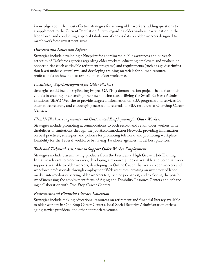knowledge about the most effective strategies for serving older workers, adding questions to a supplement to the Current Population Survey regarding older workers' participation in the labor force, and conducting a special tabulation of census data on older workers designed to match workforce investment areas.

## *Outreach and Education Efforts*

Strategies include developing a blueprint for coordinated public awareness and outreach activities of Taskforce agencies regarding older workers, educating employers and workers on opportunities (such as flexible retirement programs) and requirements (such as age discrimination laws) under current laws, and developing training materials for human resource professionals on how to best respond to an older workforce.

### *Facilitating Self-Employment for Older Workers*

Strategies could include replicating Project GATE (a demonstration project that assists individuals in creating or expanding their own businesses), utilizing the Small Business Administration's (SBA's) Web site to provide targeted information on SBA programs and services for older entrepreneurs, and encouraging access and referrals to SBA resources at One-Stop Career Centers.

### *Flexible Work Arrangements and Customized Employment for Older Workers*

Strategies include promoting accommodations to both recruit and retain older workers with disabilities or limitations through the Job Accommodation Network; providing information on best practices, strategies, and policies for promoting telework; and promoting workplace flexibility for the Federal workforce by having Taskforce agencies model best practices.

#### *Tools and Technical Assistance to Support Older Worker Employment*

Strategies include disseminating products from the President's High Growth Job Training Initiative relevant to older workers, developing a resource guide on available and potential work supports available to older workers, developing an Online Coach that walks older workers and workforce professionals through employment Web resources, creating an inventory of labor market intermediaries serving older workers (e.g., senior job banks), and exploring the possibility of increasing the employment focus of Aging and Disability Resource Centers and enhancing collaboration with One-Stop Career Centers.

#### *Retirement and Financial Literacy Education*

Strategies include making educational resources on retirement and financial literacy available to older workers in One-Stop Career Centers, local Social Security Administration offices, aging service providers, and other appropriate venues.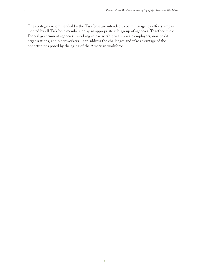The strategies recommended by the Taskforce are intended to be multi-agency efforts, implemented by all Taskforce members or by an appropriate sub-group of agencies. Together, these Federal government agencies—working in partnership with private employers, non-profit organizations, and older workers—can address the challenges and take advantage of the opportunities posed by the aging of the American workforce.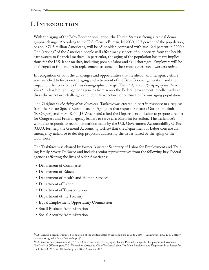## **I. Introduction**

With the aging of the Baby Boomer population, the United States is facing a radical demographic change. According to the U.S. Census Bureau, by 2030, 19.7 percent of the population, or about 71.5 million Americans, will be 65 or older, compared with just 12.4 percent in 2000.<sup>2</sup> The "graying" of the American people will affect many aspects of our society, from the health care system to financial markets. In particular, the aging of the population has many implications for the U.S. labor market, including possible labor and skill shortages. Employers will be challenged to find and train replacements as some of their most experienced workers retire.

In recognition of both the challenges and opportunities that lie ahead, an interagency effort was launched to focus on the aging and retirement of the Baby Boomer generation and the impact on the workforce of this demographic change. The *Taskforce on the Aging of the American Workforce* has brought together agencies from across the Federal government to collectively address the workforce challenges and identify workforce opportunities for our aging population.

The *Taskforce on the Aging of the American Workforce* was created in part in response to a request from the Senate Special Committee on Aging. In that request, Senators Gordon H. Smith (R-Oregon) and Herb Kohl (D-Wisconsin) asked the Department of Labor to prepare a report for Congress and Federal agency leaders to serve as a blueprint for action. The Taskforce's work also responds to recommendations made by the U.S. Government Accountability Office (GAO, formerly the General Accounting Office) that the Department of Labor convene an interagency taskforce to develop proposals addressing the issues raised by the aging of the labor force.<sup>3</sup>

The Taskforce was chaired by former Assistant Secretary of Labor for Employment and Training Emily Stover DeRocco and includes senior representatives from the following key Federal agencies affecting the lives of older Americans:

- Department of Commerce
- Department of Education
- • Department of Health and Human Services
- Department of Labor
- • Department of Transportation
- Department of the Treasury
- Equal Employment Opportunity Commission
- Small Business Administration
- Social Security Administration

<sup>2</sup>U.S. Census Bureau, "Projected Population of the United States by Age and Sex: 2000 to 2050" (Washington, DC, 2007), http:// www.census.gov/ipc/www/usinterimproj/.

<sup>3</sup>U.S. Government Accountability Office, Older Workers: Demographic Trends Pose Challenges for Employers and Workers, GAO-02-85 (Washington, DC, November 2001); and Older Workers: Labor Can Help Employers and Employees Plan Better for the Future, GAO-06-80 (Washington, DC, December 2005).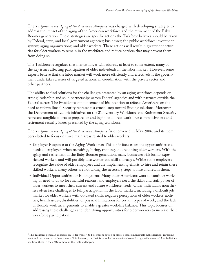The *Taskforce on the Aging of the American Workforce* was charged with developing strategies to address the impact of the aging of the American workforce and the retirement of the Baby Boomer generation. These strategies are specific actions the Taskforce believes should be taken by Federal, state, and local government agencies; businesses; the public workforce investment system; aging organizations; and older workers. These actions will result in greater opportunities for older workers to remain in the workforce and reduce barriers that may prevent them from doing so.

The Taskforce recognizes that market forces will address, at least to some extent, many of the key issues affecting participation of older individuals in the labor market. However, some experts believe that the labor market will work more efficiently and effectively if the government undertakes a series of targeted actions, in coordination with the private sector and other partners.

The ability to find solutions for the challenges presented by an aging workforce depends on strong leadership and solid partnerships across Federal agencies and with partners outside the Federal sector. The President's announcement of his intention to refocus Americans on the need to reform Social Security represents a crucial step toward finding solutions. Moreover, the Department of Labor's initiatives on the 21st Century Workforce and Retirement Security represent tangible efforts to prepare for and begin to address workforce competitiveness and retirement security issues presented by the aging workforce.

The *Taskforce on the Aging of the American Workforce* first convened in May 2006, and its members elected to focus on three main areas related to older workers:<sup>4</sup>

- Employer Response to the Aging Workforce: This topic focuses on the opportunities and needs of employers when recruiting, hiring, training, and retaining older workers. With the aging and retirement of the Baby Boomer generation, many businesses risk losing experienced workers and will possibly face worker and skill shortages. While some employers recognize the value of older employees and are implementing efforts to hire and retain these skilled workers, many others are not taking the necessary steps to hire and retain them.
- Individual Opportunities for Employment: Many older Americans want to continue working or need to do so for financial reasons, and employers need the skills and staff power of older workers to meet their current and future workforce needs. Older individuals nonetheless often face challenges to full participation in the labor market, including a difficult job market for older workers with outdated skills; negative perceptions of older workers' abilities; health issues, disabilities, or physical limitations for certain types of work; and the lack of flexible work arrangements to enable a greater work-life balance. This topic focuses on addressing these challenges and identifying opportunities for older workers to increase their workforce participation.

<sup>4</sup> The Taskforce generally considers an "older worker" to be someone age 55 or older. Because individuals make decisions regarding work and retirement at various stages of life, however, the Taskforce looked at workforce issues facing a wide range of older individuals, from those in their 40s to those in their 70s and beyond.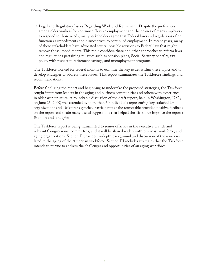• Legal and Regulatory Issues Regarding Work and Retirement: Despite the preferences among older workers for continued flexible employment and the desires of many employers to respond to those needs, many stakeholders agree that Federal laws and regulations often function as impediments and disincentives to continued employment. In recent years, many of these stakeholders have advocated several possible revisions to Federal law that might remove those impediments. This topic considers these and other approaches to reform laws and regulations pertaining to issues such as pension plans, Social Security benefits, tax policy with respect to retirement savings, and unemployment programs.

The Taskforce worked for several months to examine the key issues within these topics and to develop strategies to address these issues. This report summarizes the Taskforce's findings and recommendations.

Before finalizing the report and beginning to undertake the proposed strategies, the Taskforce sought input from leaders in the aging and business communities and others with experience in older worker issues. A roundtable discussion of the draft report, held in Washington, D.C., on June 25, 2007, was attended by more than 50 individuals representing key stakeholder organizations and Taskforce agencies. Participants at the roundtable provided positive feedback on the report and made many useful suggestions that helped the Taskforce improve the report's findings and strategies.

The Taskforce report is being transmitted to senior officials in the executive branch and relevant Congressional committees, and it will be shared widely with business, workforce, and aging organizations. Section II provides in-depth background and discussion of the issues related to the aging of the American workforce. Section III includes strategies that the Taskforce intends to pursue to address the challenges and opportunities of an aging workforce.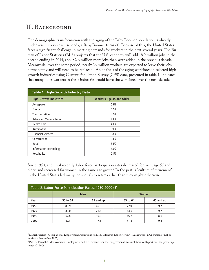## **II. Background**

The demographic transformation with the aging of the Baby Boomer population is already under way—every seven seconds, a Baby Boomer turns 60. Because of this, the United States faces a significant challenge in meeting demands for workers in the next several years. The Bureau of Labor Statistics (BLS) projects that the U.S. economy will add 18.9 million jobs in the decade ending in 2014, about 2.6 million more jobs than were added in the previous decade. Meanwhile, over the same period, nearly 36 million workers are expected to leave their jobs permanently and will need to be replaced.<sup>5</sup> An analysis of the aging workforce in selected highgrowth industries using Current Population Survey (CPS) data, presented in table 1, indicates that many older workers in these industries could leave the workforce over the next decade.

| <b>Table 1. High-Growth Industry Data</b> |                                 |  |  |
|-------------------------------------------|---------------------------------|--|--|
| <b>High-Growth Industries</b>             | <b>Workers Age 45 and Older</b> |  |  |
| Aerospace                                 | 55%                             |  |  |
| Energy                                    | 52%                             |  |  |
| Transportation                            | 47%                             |  |  |
| <b>Advanced Manufacturing</b>             | 43%                             |  |  |
| <b>Health Care</b>                        | 43%                             |  |  |
| Automotive                                | 39%                             |  |  |
| <b>Financial Services</b>                 | 38%                             |  |  |
| Construction                              | 34%                             |  |  |
| Retail                                    | 34%                             |  |  |
| Information Technology                    | 33%                             |  |  |
| Hospitality                               | 21%                             |  |  |

Since 1950, and until recently, labor force participation rates decreased for men, age 55 and older, and increased for women in the same age group.<sup>6</sup> In the past, a "culture of retirement" in the United States led many individuals to retire earlier than they might otherwise.

| Table 2. Labor Force Participation Rates, 1950-2000 (5) |            |           |          |           |  |
|---------------------------------------------------------|------------|-----------|----------|-----------|--|
|                                                         | <b>Men</b> |           | Women    |           |  |
| Year                                                    | 55 to 64   | 65 and up | 55 to 64 | 65 and up |  |
| 1950                                                    | 86.9       | 45.8      | 27.0     | 9.7       |  |
| 1970                                                    | 83.0       | 26.8      | 43.0     | 9.7       |  |
| 1990                                                    | 67.8       | 16.3      | 45.2     | 8.6       |  |
| 2000                                                    | 67.3       | 17.5      | 51.8     | 9.4       |  |

<sup>5</sup>Daniel Hecker, "Occupational Employment Projections to 2014," Monthly Labor Review (Washington, DC: Bureau of Labor Statistics, November 2005).

<sup>&</sup>lt;sup>6</sup> Patrick Purcell, Older Workers: Employment and Retirement Trends, Congressional Research Service Report for Congress, September 7, 2006.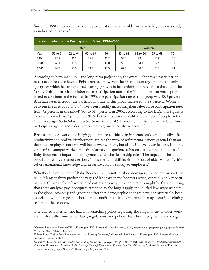| Table 3. Labor Force Participation Rates, 1994-2005 |            |          |          |       |          |          |          |       |
|-----------------------------------------------------|------------|----------|----------|-------|----------|----------|----------|-------|
|                                                     | <b>Men</b> |          |          | Women |          |          |          |       |
| Year                                                | 55 to 61   | 62 to 64 | 65 to 69 | $70+$ | 55 to 61 | 62 to 64 | 65 to 69 | $70+$ |
| 1994                                                | 73.8       | 45.1     | 26.8     | 11.7  | 55.5     | 33.1     | 17.9     | 5.5   |
| 2000                                                | 74.3       | 47.0     | 30.3     | 12.0  | 58.3     | 34.1     | 19.5     | 5.8   |
| 2005                                                | 74.7       | 52.5     | 33.6     | 13.5  | 62.7     | 40.0     | 23.7     | 7.1   |

Since the 1990s, however, workforce participation rates for older men have begun to rebound, as indicated in table 3.7

According to both medium - and long-term projections, the overall labor force participation rates are expected to have a slight decrease. However, the 55 and older age group is the only age group which has experienced a strong growth in its participation rates since the end of the 1980s. This increase in the labor force participation rate of the 55 and older workers is projected to continue in the future. In 1996, the participation rate of this group was 30.3 percent. A decade later, in 2006, the participation rate of this group increased to 38 percent. Women between the ages of 55 and 64 have been steadily increasing their labor force participation rates from 42 percent in the mid-1980s to 51.9 percent in 2000. According to the BLS, this figure is expected to reach 56.7 percent by 2015. Between 2004 and 2014, the number of people in the labor force ages 55 to 64 is projected to increase by 42.3 percent, and the number of labor force participants age 65 and older is expected to grow by nearly 74 percent.<sup>8</sup>

Because the U.S. workforce is aging, the projected tide of retirements could dramatically affect productivity and profits. Furthermore, unless the wave of retirements is more gradual than anticipated, employers not only will have fewer workers, but also will have fewer leaders. In many companies, younger workers remain relatively inexperienced because of the predominance of Baby Boomers in important management and other leadership roles. The impact of the aging population will vary across regions, industries, and skill levels. The loss of older workers' critical organizational knowledge and expertise could be costly to employers.<sup>9</sup>

Whether the retirement of Baby Boomers will result in labor shortages is by no means a settled issue. Many analysts predict shortages of labor when the boomers retire, especially in key occupations. Other analysts have pointed out reasons why these predictions might be flawed, noting that these analyses pay inadequate attention to the huge supply of qualified low-wage workers in the global economy and ignore the fact that demographic changes have not historically been associated with changes in labor market conditions.<sup>10</sup> Many retirements may occur in declining sectors of the economy.

The United States has not had an overarching policy regarding the employment of older workers. Historically, some of our laws, regulations, and policies have been designed to encourage

<sup>7</sup>Current Population Survey (CPS), Washington, DC, Bureau of Labor Statistics, 2007, http://www.agingstats.gov/agingstatsdotnet/ Main\_Site/Data/Data\_2006.aspx.

<sup>8</sup>Mitra Toosi, "Labor force Projections to 2014: Retiring Boomers," Monthly Labor Review (Washington, DC: Bureau of Labor Statistics, November 2005).

<sup>9</sup> David W. DeLong, *Lost Knowledge: Confronting the Threat of an Aging Workforce* (New York: Oxford University Press, August 2004). 10 Richard B. Freeman, *Is a Great Labor Shortage Coming? Replacement Demand in a Global Economy,* National Bureau of Economic Research Working Paper No. 12541 (Cambridge, September 2006).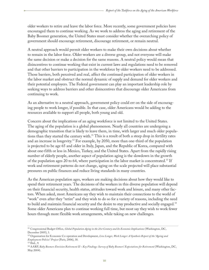older workers to retire and leave the labor force. More recently, some government policies have encouraged them to continue working. As we work to address the aging and retirement of the Baby Boomer generation, the United States must consider whether the overarching policy of government should encourage retirement, discourage retirement, or remain neutral.

A neutral approach would permit older workers to make their own decisions about whether to remain in the labor force. Older workers are a diverse group, and not everyone will make the same decision or make a decision for the same reasons. A neutral policy would mean that disincentives to continue working that exist in current laws and regulations need to be removed and that other barriers to participation in the workforce by older workers need to be addressed. Those barriers, both perceived and real, affect the continued participation of older workers in the labor market and obstruct the normal dynamic of supply and demand for older workers and their potential employers. The Federal government can play an important leadership role by seeking ways to address barriers and other disincentives that discourage older Americans from continuing to work.

As an alternative to a neutral approach, government policy could err on the side of encouraging people to work longer, if possible. In that case, older Americans would be adding to the resources available to support all people, both young and old.

Concern about the implications of an aging workforce is not limited to the United States. The aging of the population is a global phenomenon. Nearly all countries are undergoing a demographic transition that is likely to leave them, in time, with larger and much older populations than they started the century with.<sup>11</sup> This is a result of both a steep drop in fertility rates and an increase in longevity.<sup>12</sup> For example, by 2050, more than one-third of the population is projected to be age 65 and older in Italy, Japan, and the Republic of Korea, compared with about one-fifth or less in Mexico, Turkey, and the United States. Apart from the rapidly rising number of elderly people, another aspect of population aging is the slowdown in the growth of the population ages 20 to 64, where participation in the labor market is concentrated.<sup>13</sup> If work and retirement patterns do not change, aging on the scale projected will place substantial pressures on public finances and reduce living standards in many countries.

As the American population ages, workers are making decisions about how they would like to spend their retirement years. The decisions of the workers in this diverse population will depend on their financial security, health status, attitudes toward work and leisure, and many other factors. When asked, most Americans say they wish to maintain their connections to the world of "work" even after they "retire" and they wish to do so for a variety of reasons, including the need to build and maintain financial security and the desire to stay productive and socially engaged.<sup>14</sup> Some older Americans plan to continue working full time, but most say they wish to work fewer hours through more flexible work arrangements, while taking on new challenges.

<sup>11</sup> Congressional Budget Office, *Global Population Aging in the 21st Century and Its Economic Implications* (Washington, DC, December 2005), 1.

<sup>12</sup> Organisation for Economic Co-operation and Development, *Live Longer, Work Longer: A Synthesis Report of the "Ageing and Employment Policies" Project* (Paris, 2006), 18.

<sup>13</sup> Ibid., 9.

<sup>14</sup> AARP, *Baby Boomers Envision Retirement II – Key Findings: Survey of Baby Boomers' Expectations for Retirement* (Washington, DC, May 2004).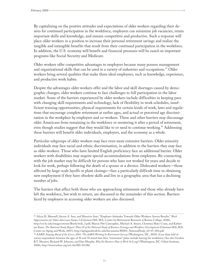By capitalizing on the positive attitudes and expectations of older workers regarding their desires for continued participation in the workforce, employers can minimize job vacancies, retain important skills and knowledge, and remain competitive and productive. Such a response will place older workers in a position to increase their personal retirement savings and realize the tangible and intangible benefits that result from their continued participation in the workforce. In addition, the U.S. economy will benefit and financial pressures will be eased on important programs like Social Security and Medicare.

Older workers offer competitive advantages to employers because many possess management and organizational skills that can be used in a variety of industries and occupations.<sup>15</sup> Older workers bring several qualities that make them ideal employees, such as knowledge, experience, and productive work habits.

Despite the advantages older workers offer and the labor and skill shortages caused by demographic changes, older workers continue to face challenges to full participation in the labor market. Some of the barriers experienced by older workers include difficulties in keeping pace with changing skill requirements and technology, lack of flexibility in work schedules, insufficient training opportunities, physical requirements for certain kinds of work, laws and regulations that encourage complete retirement at earlier ages, and actual or perceived age discrimination in the workplace by employers and co-workers. These and other barriers may discourage older Americans from remaining in the workforce or reentering it after a period of retirement, even though studies suggest that they would like to or need to continue working.<sup>16</sup> Addressing these barriers will benefit older individuals, employers, and the economy as a whole.

Particular subgroups of older workers may face even more extensive barriers. Older minority individuals may face racial and ethnic discrimination, in addition to the barriers they may face as older workers. Those who have limited English proficiency face an additional barrier. Older workers with disabilities may require special accommodations from employers. Re-connecting with the job market may be difficult for persons who have not worked for years and decide to look for work, perhaps following the death of a spouse or a divorce. Dislocated workers—those affected by large-scale layoffs or plant closings—face a particularly difficult time in obtaining new employment if they have obsolete skills and live in a geographic area that has a declining number of jobs.

The barriers that affect both those who are approaching retirement and those who already have left the workforce, but wish to return, are discussed in the remainder of this section. Barriers faced by employers in accessing older workers are also discussed.

15 Alicia H. Munnell, Steven A. Sass, and Mauricio Soto, "Employer Attitudes Towards Older Workers: Survey Results," *Work Opportunities for Older Americans* Series 3 (Chestnut Hill, MA: Center for Retirement Research at Boston College, 2006), http://crr.bc.edu/images/stories/Briefs/wob\_3.pdf; Marcie Pitt-Catsouphes, Michael A. Smyer, Christina Matz-Costa, and Katherine Kane, *The National Study Report: Phase II of the National Study of Business Strategy and Workforce Development* (Chestnut Hill, MA: Center on Aging and Work, 2007), http://agingandwork.bc.edu/documents/RH04\_NationalStudy\_03-07\_004.pdf.

<sup>16</sup> AARP, *Staying Ahead of the Curve 2003: The AARP Working In Retirement Survey* (Washington, DC, 2003). (Less than half of survey respondents between the ages of 50 and 70 stated that their "retirement" plans include leaving the workforce.) See also Gordon B.T. Mermin, Richard W. Johnson, and Dan Murphy, *Why Do Boomers Plan to Work So Long?* (Washington, DC: Urban Institute, 2006), http://www.urban.org/url.cfm?ID=311386.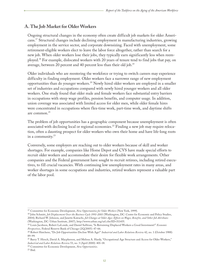## **A. The Job Market for Older Workers**

Ongoing structural changes in the economy often create difficult job markets for older Americans.17 Structural changes include declining employment in manufacturing industries, growing employment in the service sector, and corporate downsizing. Faced with unemployment, some retirement-eligible workers elect to leave the labor force altogether, rather than search for a new job. When older workers lose their jobs, they typically earn significantly less when reemployed.18 For example, dislocated workers with 20 years of tenure tend to find jobs that pay, on average, between 20 percent and 40 percent less than their old job.<sup>19</sup>

Older individuals who are reentering the workforce or trying to switch careers may experience difficulty in finding employment. Older workers face a narrower range of new employment opportunities than do younger workers.<sup>20</sup> Newly hired older workers are employed in a smaller set of industries and occupations compared with newly hired younger workers and all older workers. One study found that older male and female workers face substantial entry barriers in occupations with steep wage profiles, pension benefits, and computer usage. In addition, union coverage was associated with limited access for older men, while older female hires were concentrated in occupations where flex-time work, part-time work, and daytime shifts are common. $^{21}$ 

The problem of job opportunities has a geographic component because unemployment is often associated with declining local or regional economies.<sup>22</sup> Finding a new job may require relocation, often a daunting prospect for older workers who own their home and have life-long roots in a community.<sup>23</sup>

Conversely, some employers are reaching out to older workers because of skill and worker shortages. For example, companies like Home Depot and CVS have made special efforts to recruit older workers and accommodate their desire for flexible work arrangements. Other companies and the Federal government have sought to recruit retirees, including retired executives, to fill crucial vacancies. With continuing low unemployment rates in many areas, and worker shortages in some occupations and industries, retired workers represent a valuable part of the labor pool.

<sup>17</sup> Committee for Economic Development, *New Opportunities for Older Workers* (New York, 1999).

<sup>18</sup> John Schmitt, *Job Displacement Over the Business Cycle 1991-2001* (Washington, DC: Center for Economic and Policy Studies, 2004); Richard W. Johnson, and Janette Kawachi, *Job Changes at Older Ages: Effects on Wages, Benefits, and Other Job Attributes* (Washington, DC: Urban Institute, 2007), http://www.urban.org/url.cfm?ID=311435.

<sup>19</sup> Louis Jacobson, Robert LaLonde, and Daniel Sullivan, "Is Retraining Displaced Workers a Good Investment?" *Economic Perspectives,* Federal Reserve Bank of Chicago (2Q/2005): 47–66.

<sup>20</sup> Robert Hutchens, "Do Job Opportunities Decline With Age?" *Industrial and Labor Relations Review* 42, no. 1 (October 1988): 89–99.

<sup>21</sup> Barry T. Hirsch, David A. Macpherson, and Melissa A. Hardy, "Occupational Age Structure and Access for Older Workers," *Industrial and Labor Relations Review* 53, no. 3 (April 2000): 401–18.

<sup>22</sup> Committee for Economic Development, *New Opportunities.*

<sup>23</sup> Ibid.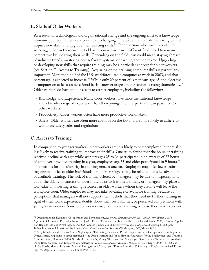### **B. Skills of Older Workers**

As a result of technological and organizational change and the ongoing shift to a knowledge economy, job requirements are continually changing. Therefore, individuals increasingly must acquire new skills and upgrade their existing skills.<sup>24</sup> Older persons who wish to continue working, either in their current field or in a new career in a different field, need to remain competitive by updating their skills. Depending on the field, this could mean staying abreast of industry trends, mastering new software systems, or earning another degree. Upgrading or developing new skills that require training may be a particular concern for older workers (see Section C. Access to Training). Acquiring or maintaining computer skills is particularly important. More than half of the U.S. workforce used a computer at work in 2003, and that percentage is expected to increase.<sup>25</sup> While only 29 percent of Americans age 65 and older use a computer on at least an occasional basis, Internet usage among seniors is rising dramatically.<sup>26</sup> Older workers do have unique assets to attract employers, including the following:

- • Knowledge and Experience: Many older workers have more institutional knowledge and a broader range of experience than their younger counterparts and can pass it on to other workers.
- Productivity: Older workers often have more productive work habits.
- Safety: Older workers are often more cautious on the job and are more likely to adhere to workplace safety rules and regulations.

## **C. Access to Training**

In comparison to younger workers, older workers are less likely to be unemployed, but are also less likely to receive training to improve their skills. One study found that the hours of training received decline with age: while workers ages 25 to 34 participated in an average of 37 hours of employer-provided training in a year, employees age 55 and older participated in 9 hours.<sup>27</sup> The reasons for this disparity in training remain unclear. Employers may offer fewer training opportunities to older individuals, or older employees may be reluctant to take advantage of available training. The lack of training offered by managers may be due to misperceptions about the ability or interest of older individuals to learn new things, or managers may place a low value on investing training resources in older workers whom they assume will leave the workplace soon. Older employees may not take advantage of available training because of perceptions that managers will not support them, beliefs that they need no further training in light of their work experience, doubts about their own abilities, or perceived competitions with younger co-workers. Some older workers may not receive training because they have experience

<sup>24</sup> Organisation for Economic Co-operation and Development, *Ageing and Employment Policies - United States* (Paris, 2005).

<sup>&</sup>lt;sup>25</sup> Jennifer Cheeseman Day, Alex Janus, and Jessica Davis, "Computer and Internet Use in the United States: 2003," Current Population Reports P23-208 (Washington, DC: U.S. Census Bureau, 2005), http://www.census.gov/prod/2005pubs/p23-208.pdf. <sup>26</sup> Pew Internet and American Life Project, *Older Americans and the Internet* (Washington, DC, March 2004).

<sup>&</sup>lt;sup>27</sup> Kelly Mikelson and Demetra Smith Nightengale, "Estimating Public and Private Expenditures on Occupational Training in the United States," unpublished paper prepared by the Urban Institute and Johns Hopkins University for the Employment and Training Administration, December 2004. See also Harley Frazis, Maury Gittleman, and Mary Joyce, "Correlates of Training: An Analysis Using Both Employer and Employee Characteristics," *Industrial and Labor Relations Review* 53, no. 3 (April 2000) 443–62; and Harley Frazis, Maury Gittleman, Michael Horrigan, and Mary Joyce, "Results from the 1995 Survey of Employer-Provided Training," *Monthly Labor Review* 121, no. 6 June 1998: 3–13.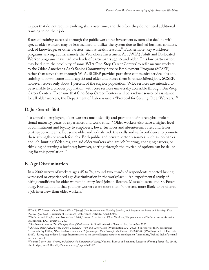in jobs that do not require evolving skills over time, and therefore they do not need additional training to do their job.

Rates of training accessed through the public workforce investment system also decline with age, as older workers may be less inclined to utilize the system due to limited business contacts, lack of knowledge, or other barriers, such as health reasons.<sup>28</sup> Furthermore, key workforce programs serving adults, namely the Workforce Investment Act (WIA) Adult and Dislocated Worker programs, have had low levels of participants age 55 and older. This low participation may be due to the proclivity of some WIA One-Stop Career Centers' to refer mature workers to the Older Americans Act's Senior Community Service Employment Program (SCSEP) rather than serve them through WIA. SCSEP provides part-time community service jobs and training to low-income adults age 55 and older and places them in unsubsidized jobs. SCSEP, however, serves only about 1 percent of the eligible population. WIA services are intended to be available to a broader population, with core services universally accessible through One-Stop Career Centers. To ensure that One-Stop Career Centers will be a robust source of assistance for all older workers, the Department of Labor issued a "Protocol for Serving Older Workers."<sup>29</sup>

## **D. Job Search Skills**

To appeal to employers, older workers must identify and promote their strengths: professional maturity, years of experience, and work ethic.<sup>30</sup> Older workers also have a higher level of commitment and loyalty to employers, lower turnover and absenteeism rates, and fewer on-the-job accidents. But some older individuals lack the skills and self-confidence to promote these strengths or search for jobs. Both public and private sector resources, such as job banks and job-hunting Web sites, can aid older workers who are job hunting, changing careers, or thinking of starting a business; however, sorting through the myriad of options can be daunting for this population.<sup>9</sup>

## **E. Age Discrimination**

In a 2002 survey of workers ages 45 to 74, around two-thirds of respondents reported having witnessed or experienced age discrimination in the workplace.<sup>31</sup> An experimental study of hiring conditions for older women in entry-level jobs in Boston, Massachusetts, and St. Petersburg, Florida, found that younger workers were more than 40 percent more likely to be offered a job interview than older workers.<sup>32</sup>

<sup>28</sup> David W. Stevens, *Older Worker Flows Through Core, Intensive, and Training Services, and Employment Status and Earnings First Quarter After Exit* (University of Baltimore Jacob France Institute, April 2004).

<sup>&</sup>lt;sup>29</sup> Training and Employment Notice No. 16-04, "Protocol for Serving Older Workers," Employment and Training Administration, Washington, DC, January 31, 2005.<br><sup>30</sup> Stephanie Overton, *The Changing Face of Retirement*, Radford University News to Use, December 2003.

<sup>31</sup> AARP, Staying Ahead of the Curve: The AARP Work and Career Study (Washington, DC, 2002). See report of the Government Accountability Office, *Older Workers: Labor Can Help Employers Plan Better for the Future,* GAO-06-08 (Washington, DC, December 2005). (Survey respondents list age discrimination as the second largest obstacle to employment "later in life," behind lack of demand for their skills.)

<sup>32</sup> Joanna Lahey, *Age, Women, and Hiring: An Experimental Study,* National Bureau of Economic Research Working Paper No. 11435, Cambridge, June 2005, http://www.nber.org/papers/w11435.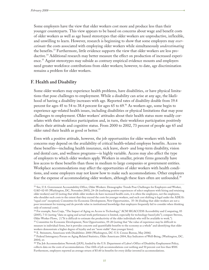Some employers have the view that older workers cost more and produce less than their younger counterparts. This view appears to be based on concerns about wage and benefit costs of older workers as well as age based stereotypes that older workers are unproductive, inflexible, and unwilling to learn. However, research is beginning to show that some employers may *overestimate* the costs associated with employing older workers while simultaneously *underestimating* the benefits.<sup>33</sup> Furthermore, little evidence supports the view that older workers are less productive.<sup>34</sup> Additional research may better measure the effect on production of increased experience.<sup>35</sup> Ageist stereotypes may subside as contrary empirical evidence mounts and employers need greater workforce contributions from older workers; however, to date, age discrimination remains a problem for older workers.

### **F. Health and Disability**

Some older workers may experience health problems, have disabilities, or have physical limitations that pose challenges to employment. While a disability can arise at any age, the likelihood of having a disability increases with age. Reported rates of disability double from 19.4 percent for ages 45 to 54 to 38.4 percent for ages 65 to  $69<sup>36</sup>$  As workers age, some begin to experience age-related health issues, including disabilities or physical limitations that may pose challenges to employment. Older workers' attitudes about their health status more readily correlates with their workforce participation and, in turn, their workforce participation positively affects their attitude and cognitive status. From 2000 to 2002, 73 percent of people age 65 and older rated their health as good or better.<sup>37</sup>

Even with a positive attitude, however, the job opportunities for older workers with health concerns may depend on the availability of critical health-related employee benefits. Access to these benefits—including health insurance, sick leave, short- and long-term disability, vision and dental care, and wellness programs—is highly variable. Access may also affect the type of employers to which older workers apply. Workers in smaller, private firms generally have less access to these benefits than those in medium to large companies or government entities. Workplace accommodations may affect the opportunities of older workers with health conditions, and some employers may not know how to make such accommodations. Other employers fear the expense of accommodating older workers, although these fears often are unfounded.<sup>38</sup>

<sup>33</sup> See, U.S. Government Accountability Office, Older Workers: Demographic Trends Pose Challenges for Employers and Worker, GAO-02-85 (Washington, DC, November 2001), 24–26 (outlining positive experiences of select employers with hiring and retaining older workers) and 32 (noting that while older workers do have increased health costs, it is often the employees, not the employers, who shoulder such costs to the extent that they exceed the costs for younger workers, and such cost shifting is legal under the ADEA's "equal cost" exception); Committee for Economic Development, New Opportunities, 35–36 (finding that older workers are not a poor investment for training and do provide value in institutional knowledge that employers frequently fail to consider when thinking only of external costs).

<sup>34</sup> For example, Sara Czaja, "The Impact of Aging on Access to Technology," ACM SIGACCESS Accessibility and Computing, 83 (2005), 7-11 (noting "data on aging and actual work performance is limited, especially for technology-based jobs"); compare Stevens, Older Worker Flows, 2 ("It is difficult to estimate the productivity of the older individuals who will be available to work.").

<sup>35</sup> Committee for Economic Development, New Opportunities, 19–20 (noting that "the value of experience may be difficult to measure in individual firms, but it provides concrete and quantifiable benefits to the economy as a whole" and identifying that older workers demonstrate a higher degree of loyalty and are "more stable" than younger hires).

<sup>36</sup> E. Steinmetz, Americans with Disabilities: 2000 (Washington, DC: U.S. Census Bureau, May 2006).

<sup>37</sup> Federal Interagency Forum on Aging Related Statistics, Older Americans 2004, Key Indicators of Well-Being, (Washington, DC, 2004), xv.

<sup>&</sup>lt;sup>38</sup> The Job Accommodation Network (JAN), funded by the U.S. Department of Labor's Office of Disability Employment Policy, collects data on the costs of accommodations. One-fifth of job accommodations cost nothing and 50 percent cost less than \$500. Furthermore, employers reported an average return of \$3.60 in benefits for every dollar invested in accommodations.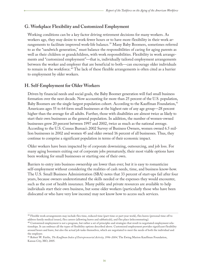## **G. Workplace Flexibility and Customized Employment**

Working conditions can be a key factor driving retirement decisions for many workers. As workers age, they may desire to work fewer hours or to have more flexibility in their work arrangements to facilitate improved work-life balance.<sup>39</sup> Many Baby Boomers, sometimes referred to as the "sandwich generation," must balance the responsibilities of caring for aging parents as well as their children or grandchildren, with work responsibilities. Flexibility in work arrangements and "customized employment"—that is, individually tailored employment arrangements between the worker and employer that are beneficial to both—can encourage older individuals to remain in the workforce.<sup>40</sup> The lack of these flexible arrangements is often cited as a barrier to employment by older workers.

## **H. Self-Employment for Older Workers**

Driven by financial needs and social goals, the Baby Boomer generation will fuel small business formation over the next decade. Now accounting for more than 25 percent of the U.S. population, Baby Boomers are the single-largest population cohort. According to the Kauffman Foundation,<sup>41</sup> Americans ages 55 to 64 form small businesses at the highest rate of any age group—28 percent higher than the average for all adults. Further, those with disabilities are almost twice as likely to start their own businesses as the general population. In addition, the number of women-owned businesses grew 20 percent between 1997 and 2002, twice as much as the national average. According to the U.S. Census Bureau's 2002 Survey of Business Owners, women owned 6.5 million businesses in 2002 and women 45 and older owned 16 percent of all businesses. Thus, they continue to comprise a significant population in terms of their economic impact.

Older workers have been impacted by of corporate downsizing, outsourcing, and job loss. For many aging boomers exiting out of corporate jobs prematurely, their most viable options have been working for small businesses or starting one of their own.

Barriers to entry into business ownership are lower than ever; but it is easy to romanticize self-employment without considering the realities of cash needs, time, and business know-how. The U.S. Small Business Administration (SBA) notes that 33 percent of start-ups fail after four years, because owners underestimated the skills needed or the expenses they would encounter, such as the cost of health insurance. Many public and private resources are available to help individuals start their own business, but some older workers (particularly those who have been dislocated or who have very low income) may not know how to access such services.

<sup>&</sup>lt;sup>39</sup> Flexible work arrangements may include flex time, reduced time (part-time or part-year work), flex leaves (personal time off to address family medical issues), flex careers (allowing leaves and sabbaticals), and flex place (telecommuting).

 $40$  Customized employment is not a program, but rather a set of principles and strategies that result in negotiated employment relationships. It can embrace all the types of flexibility options described above. Customized employment provides significant flexibility around hours and leave, but also the actual job tasks themselves, which are negotiated to meet the needs of both the individual and the employer.

<sup>41</sup> Robert W. Fairlie, *The Kauffman Index of Entrepreneurial Activity, 1996-2004,* The Ewing Marion Kauffman Foundation, Kansas City, MO, 2005.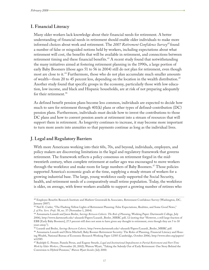## **I. Financial Literacy**

Many older workers lack knowledge about their financial needs for retirement. A better understanding of financial needs in retirement should enable older individuals to make more informed choices about work and retirement. The 2007 Retirement Confidence Survey<sup>42</sup> found a number of false or misguided notions held by workers, including expectations about what retirement will cost, the benefits that will be available in retirement, and connections between retirement timing and these financial benefits.<sup>43</sup> A recent study found that notwithstanding the many initiatives aimed at fostering retirement planning in the 1990s, a large portion of early Baby Boomers (those ages 51 to 56 in 2004) still do not plan for retirement, even though most are close to it.<sup>44</sup> Furthermore, those who do not plan accumulate much smaller amounts of wealth—from 20 to 45 percent less, depending on the location in the wealth distribution.<sup>45</sup> Another study found that specific groups in the economy, particularly those with low education, low income, and black and Hispanic households, are at risk of not preparing adequately for their retirement.<sup>46</sup>

As defined benefit pension plans become less common, individuals are expected to decide how much to save for retirement through  $401(k)$  plans or other types of defined-contribution (DC) pension plans. Furthermore, individuals must decide how to invest the contributions to those DC plans and how to convert pension assets at retirement into a stream of resources that will support them in retirement. As longevity continues to increase, it may become more important to turn more assets into annuities so that payments continue as long as the individual lives.

## **J. Legal and Regulatory Barriers**

With more Americans working into their 60s, 70s, and beyond, individuals, employers, and policy makers are discovering limitations in the legal and regulatory framework that governs retirement. The framework reflects a policy consensus on retirement forged in the midtwentieth century, when complete retirement at earlier ages was encouraged to move workers through the workforce and make room for large numbers of Baby Boomers.<sup>47</sup> Those policies supported America's economic goals at the time, supplying a steady stream of workers for a growing industrial base. The large, young workforce easily supported the Social Security, health, and retirement needs of a comparatively small retiree population. Today, the workforce is older, on average, with fewer workers available to support a growing number of retirees who

45 Lusardi and Beeler, *Savings Between Cohorts,* http://www.dartmouth.edu/~alusardi/Papers/Lusardi\_Beeler\_MRRC.pdf.

<sup>42</sup> Employee Benefits Research Institute and Mathew Greenwald & Associates, Retirement Confidence Survey (Washington, DC, January 2007).

<sup>43</sup> Neil E. Cutler, "The Flashing Yellow Lights of Retirement Planning: False Expectations, Realities, and Some Good News," *J. of Fin. Serv. Profs.* 58, no. 37 (November 1, 2004).

<sup>44</sup> Annamaria Lusardi and Jason Beeler, *Savings Between Cohorts: The Role of Planning*, Working Paper: Dartmouth College, July 2006), http://www.dartmouth.edu/~alusardi/Papers/Lusardi\_Beeler\_MRRC.pdf, 12 (noting that "However, a still large fraction of EBB [Early Baby Boomers], 27.5 percent still does not seem to have given any thought to retirement, even though they are 5 to 10 years away.").

<sup>46</sup> Annamaria Lusardi and Olivia Mitchell, Baby Boomer Retirement Security: The Roles of Planning, Financial Literacy and Housing Wealth, National Bureau of Economic Research Working Paper 12585 (Cambridge, October 2006), http://www.nber.org/papers/ w12585.

<sup>47</sup> Rudolph G. Penner, Pamela Perun, and Eugene Steurle, *Legal and Institutional Impediments to Partial Retirement and Part-Time Work by Older Workers,* (November 20, 2002); Watson Wyatt, "Taking the Subsidy Out of Early Retirement: One Story Behind the Conversion to Hybrid Pensions," *Watson Wyatt Insider,* July 2000.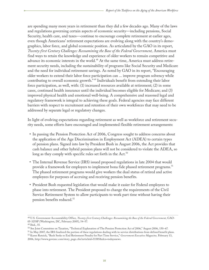are spending many more years in retirement than they did a few decades ago. Many of the laws and regulations governing certain aspects of economic security—including pensions, Social Security, health care, and taxes—continue to encourage complete retirement at earlier ages, even though Americans' retirement expectations are evolving along with the country's demographics, labor force, and global economic position. As articulated by the GAO in its report, *Twenty-first Century Challenges: Reexamining the Base of the Federal Government,* America must find ways to retain the knowledge and experience of older workers to remain competitive and advance its economic interests in the world. $^{48}$  At the same time, America must address retirement security needs, including the sustainability of programs like Social Security and Medicare and the need for individual retirement savings. As noted by GAO in its report, "Encouraging older workers to extend their labor force participation can ... improve program solvency while contributing to overall economic growth." 49 Individuals benefit from extending their labor force participation, as well, with: (1) increased resources available at retirement; (2) in some cases, continued health insurance until the individual becomes eligible for Medicare; and (3) improved physical health and emotional well-being. A comprehensive and reasoned legal and regulatory framework is integral to achieving these goals. Federal agencies may face different barriers with respect to recruitment and retention of their own workforces that may need to be addressed by separate legal or regulatory changes.

In light of evolving expectations regarding retirement as well as workforce and retirement security needs, some efforts have encouraged and implemented flexible retirement arrangements:

- In passing the Pension Protection Act of 2006, Congress sought to address concerns about the application of the Age Discrimination in Employment Act (ADEA) to certain types of pension plans. Signed into law by President Bush in August 2006, the Act provides that cash balance and other hybrid pension plans will not be considered to violate the ADEA, so long as they comply with specific rules set forth in the Act.<sup>50</sup>
- The Internal Revenue Service (IRS) issued proposed regulations in late 2004 that would provide a framework for employers to implement bona fide phased retirement programs.<sup>51</sup> The phased retirement programs would give workers the dual status of retired and active employees for purposes of accruing and receiving pension benefits.
- President Bush requested legislation that would make it easier for Federal employees to phase into retirement. The President proposed to change the requirements of the Civil Service Retirement System to allow participants to work part time without having their pension benefits reduced.<sup>52</sup>

<sup>48</sup> U.S. Government Accountability Office, *Twenty-first Century Challenges: Reexamining the Base of the Federal Government,* GAO-05-325SP (Washington, DC, February 2005), 54–57.

<sup>49</sup> Ibid., 55.

<sup>50</sup> See Joint Committee on Taxation, "Technical Explanation of The Pension Protection Act of 2006," August 2006, 150–67.

<sup>51</sup> In May 2007, the IRS finalized the portion of these regulations dealing with in-service distributions from defined benefit plans. <sup>52</sup> Karen Rutzick, "Bush Seeks to End Retirement Penalty for Part Time Service," *Government Executive Magazine,* February 13,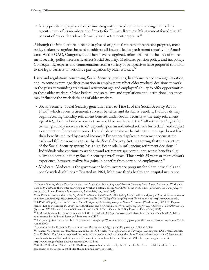• Many private employers are experimenting with phased retirement arrangements. In a recent survey of its members, the Society for Human Resource Management found that 10 percent of respondents have formal phased-retirement programs.<sup>53</sup>

Although the initial efforts directed at phased or gradual retirement represent progress, most policy makers recognize the need to address all issues affecting retirement security for Americans. As the GAO, Congress, and others have recognized, reform efforts in the area of retirement security policy necessarily affect Social Security, Medicare, pension policy, and tax policy. Consequently, experts and commentators from a variety of perspectives have proposed solutions to the legal barriers to workforce participation by older workers.<sup>54</sup>

Laws and regulations concerning Social Security, pensions, health insurance coverage, taxation, and, to some extent, age discrimination in employment affect older workers' decisions to work in the years surrounding traditional retirement age and employers' ability to offer opportunities to these older workers. Other Federal and state laws and regulations and institutional practices may influence the work decisions of older workers.

- • Social Security: Social Security generally refers to Title II of the Social Security Act of 1935,<sup>55</sup> which covers retirement, survivor benefits, and disability benefits. Individuals may begin receiving monthly retirement benefits under Social Security at the early retirement age of 62, albeit in lower amounts than would be available at the "full retirement" age of 65 (which gradually increases to 67, depending on an individual retiree's birth date), and subject to a reduction for earned income. Individuals at or above the full retirement age do not have their benefits reduced by earned income.<sup>56</sup> Pronounced spikes in retirement occur at the early and full retirement ages set by the Social Security Act, suggesting that the structure of the Social Security system has a significant role in influencing retirement decisions.<sup>57</sup> Individuals who continue to work beyond retirement age continue to accrue benefits eligibility and continue to pay Social Security payroll taxes. Those with 35 years or more of work experience, however, realize few gains in benefits from continued employment.<sup>58</sup>
- Medicare: Medicare is the government health insurance program for older individuals and people with disabilities.59 Enacted in 1964, Medicare funds health and hospital insurance

<sup>57</sup> Organisation for Economic Co-operation and Development, "Ageing and Employment Policies", 2005.

<sup>53</sup> Chantel Sheaks, Marcie Pitt-Catsouphes, and Michael A Smyer, *Legal and Research Summary Sheet: Phased Retirement,* Workplace Flexibility 2010 and the Center on Aging and Work at Boston College, May 2006 (citing M.E. Burke, *2005 Benefits: Survey Report,*  Society for Human Resource Management, Alexandria, VA, June 2005).

<sup>54</sup> See Penner, Perun, and Steurle, *Legal and Institutional Impediments,* 2002 (citing Gary Burtless and Joseph Qinn, *Retirement Trends and Policies to Encourage Work Among Older Americans,* Boston College Working Papers in Economics, 436, http://fmwww.bc.edu.

ED-P/WP436.pdf ); ERISA Advisory Council, *Report of the Working Group on Phased Retirement* (Washington, DC: U.S. Department of Labor, November 14, 2000); R.V. Burkhauser and J.F. Quinn, *Pro-Work Policy Proposals for Older Americans in the 21st Century* (Syracuse, NY: Maxwell School of Citizenship and Public Affairs, Center for Policy Research Policy Brief, 1997).

<sup>55 42</sup> U.S.C. Section 401, *et seq,* as amended. Title II – Federal Old Age, Survivors, and Disability Insurance Benefits (OASDI) is administered by the Social Security Administration (SSA).

<sup>56</sup> The earnings test for those at full retirement up through age 69 was eliminated by passage of the Senior Citizens Freedom to Work Act of 2000.

<sup>58</sup> Richard W. Johnson, Gordon Mermin, and Eugene C Steurle, *Work Impediments at Older Ages* (Washington, DC: Urban Institute, May 23, 2006). The SSA has reported the projected share of men and women with at least 35 years of earnings to be 47.5 percent for those born between 1926 and 1945, and 71.2 percent for those born between 1946 and 1960. The report may be found at http://www.ssa.gov/policy/docs/rsnotes/rsn2000-02.html.

<sup>59 42</sup> U.S.C. Section 1395, *et seq.* The Medicare program is administered by the Centers for Medicare and Medicaid Services, a component of the Department of Health and Human Services (HHS).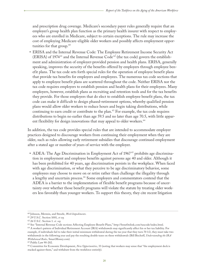and prescription drug coverage. Medicare's secondary payer rules generally require that an employer's group health plan function as the primary health insurer with respect to employees who are enrolled in Medicare, subject to certain exceptions. The rule may increase the cost of employing Medicare-eligible older workers and possibly affects employment opportunities for that group. $60$ 

• ERISA and the Internal Revenue Code: The Employee Retirement Income Security Act (ERISA) of 1974<sup>61</sup> and the Internal Revenue Code<sup>62</sup> (the tax code) govern the establishment and administration of employer-provided pension and health plans. ERISA, generally speaking, improves the security of the benefits offered by employers through employee benefit plans. The tax code sets forth special rules for the operation of employee benefit plans that provide tax benefits for employers and employees. The numerous tax code sections that apply to employee benefit plans are scattered throughout the code. Neither ERISA nor the tax code requires employers to establish pension and health plans for their employees. Many employers, however, establish plans as recruiting and retention tools and for the tax benefits they provide. For those employers that do elect to establish employee benefit plans, the tax code can make it difficult to design phased-retirement options, whereby qualified pension plans would allow older workers to reduce hours and begin taking distributions, while continuing to earn credit or contribute to the plan. $63$  For example, the tax code requires distributions to begin no earlier than age 59.5 and no later than age 70.5, with little apparent flexibility for design innovations that may appeal to older workers.<sup>64</sup>

In addition, the tax code provides special rules that are intended to accommodate employer practices designed to discourage workers from continuing their employment when they are older, such as rules allowing early retirement subsidies that discourage continued employment after a stated age or number of years of service with the employer.

• ADEA: The Age Discrimination in Employment Act of 1967<sup>65</sup> prohibits age discrimination in employment and employee benefits against persons age 40 and older. Although it has been prohibited for 40 years, age discrimination persists in the workplace. When faced with age discrimination, or what they perceive to be age discriminatory behavior, some employees may choose to move on or retire rather than challenge the illegality through a lengthy and uncertain process.<sup>66</sup> Some employers and commentators contend that the ADEA is a barrier to the implementation of flexible benefit programs because of uncertainty over whether those benefit programs will violate the statute by treating older workers less favorably than younger workers. To support this theory, they cite recent litigation

<sup>60</sup> Johnson, Mermin, and Steurle, *Work Impediments.*

<sup>61 29</sup> U.S.C. Section 1001, *et seq.*

<sup>62 26</sup> U.S.C. Section 1. *et. seq.*

<sup>63</sup> See "Internal Revenue Code sections Affecting Employee Benefit Plans," http://benefitslink.com/taxcode/index.html. 64 A worker's pattern of Individual Retirement Account (IRA) withdrawals may significantly affect his or her tax liability. For example, if individuals fail to take their initial minimum withdrawal during the tax year that they turn 70 1⁄2, they must take two withdrawals in the following year and pay the resulting double taxes on these withdrawals (Bill Bischoff, *Understanding the IRA Withdrawal Rules,* SmartMoney.com).

<sup>65</sup> Public Law 90-202.

<sup>66</sup> Committee for Economic Development, *New Opportunities,* 33 (noting that workers may sense that "the employment deck is stacked against them," and withdraw from the workforce entirely).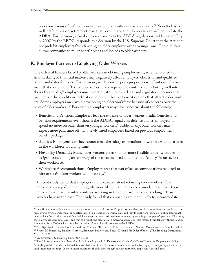over conversions of defined benefit pension plans into cash balance plans.<sup>67</sup> Nonetheless, a well-crafted phased-retirement plan that is voluntary and has no age cap will not violate the ADEA. Furthermore, a final rule on revisions to the ADEA regulations, published on July 6, 2007, by the EEOC, responds to a decision by the U.S. Supreme Court that the Act does not prohibit employers from favoring an older employee over a younger one. The rule thus allows companies to tailor benefit plans and job ads to older workers.

## **K. Employer Barriers to Employing Older Workers**

The external barriers faced by older workers in obtaining employment, whether related to health, skills, or financial matters, may negatively affect employers' efforts to find qualified older candidates for work. Furthermore, while some experts propose new definitions of retirement that create more flexible approaches to allow people to continue contributing well into their 60s and  $70s$ ,<sup>68</sup> employers must operate within current legal and regulatory schemes that may impair their ability or inclination to design flexible benefit options that attract older workers. Some employers may avoid developing an older workforce because of concerns over the costs of older workers.<sup>69</sup> For example, employers may have concerns about the following:

- • Benefits and Pensions: Employers fear the expense of older workers' health benefits and pension requirements even though the ADEA's equal cost defense allows employers to spend no more on older than on younger workers.<sup>70</sup> Additionally, older workers may expect more paid time off than newly hired employees based on previous employment benefit packages.
- Salaries: Employers fear they cannot meet the salary expectations of workers who have been in the workforce for a long time.
- Flexibility Demands: Many older workers are asking for more flexible hours, schedules, or assignments; employers are wary of the costs involved and potential "equity" issues across their workforce.
- • Workplace Accommodations: Employers fear that workplace accommodations required to hire or retain older workers will be costly. $\mathbf{1}^T$

A recent study found that employers are lukewarm about retaining older workers. The employers surveyed were only slightly more likely than not to accommodate even half their employees who will want to continue working in their job two to four years longer than workers have in the past. The study found that companies are more likely to accommodate

<sup>&</sup>lt;sup>67</sup> Benefit planners designed cash balance plans for a variety of reasons. Proponents note that cash balance retirement benefits accrue more evenly over a career than the benefits earned in a traditional pension plan, and they typically are "portable," unlike traditional pension benefits. Critics contend that cash balance plans were instituted to save money by reducing an employer's pension obligations, especially to its older employees, and that as a result, the plans are age discriminatory. Congress resolved this debate with the Pension Protection Act of 2006, which provides that cash balance plans do not violate the ADEA.

<sup>68</sup> Ken Dychtwald, Tamara Erickson, and Bob Morison, "It's Time to Retire Retirement," *Harvard Business Review,* March 1, 2004. <sup>69</sup> Robert M. Hutchens, Employer Surveys, Employer Policies, and Future Demand for Older Workers (The Brooking Institution, March 31, 2001).

<sup>70</sup> See Overton, *The Changing Face of Retirement.* 

<sup>71</sup> The Job Accommodation Network ( JAN), funded by the U.S. Department of Labor's Office of Disability Employment Policy. According to JAN, study results to date show that almost half of the accommodations needed by employees and job applicants with disabilities cost nothing. Of those accommodations that do cost, the typical expenditure by employers is around \$500.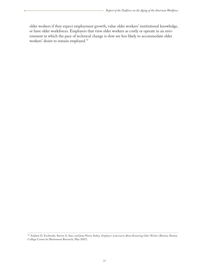older workers if they expect employment growth, value older workers' institutional knowledge, or have older workforces. Employers that view older workers as costly or operate in an environment in which the pace of technical change is slow are less likely to accommodate older workers' desire to remain employed.<sup>72</sup>

<sup>72</sup> Andrew D. Eschtruth, Steven A. Sass, and Jean-Pierre Aubry, *Employers Lukewarm About Retaining Older Workers* (Boston: Boston College Center for Retirement Research, May 2007).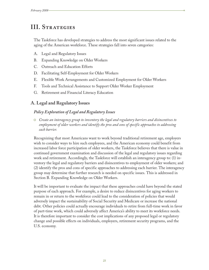## **III. Strategies**

The Taskforce has developed strategies to address the most significant issues related to the aging of the American workforce. These strategies fall into seven categories:

- A. Legal and Regulatory Issues
- B. Expanding Knowledge on Older Workers
- C. Outreach and Education Efforts
- D. Facilitating Self-Employment for Older Workers
- E. Flexible Work Arrangements and Customized Employment for Older Workers
- F. Tools and Technical Assistance to Support Older Worker Employment
- G. Retirement and Financial Literacy Education

## **A. Legal and Regulatory Issues**

## *Policy Exploration of Legal and Regulatory Issues*

 *Create an interagency group to inventory the legal and regulatory barriers and disincentives to employment of older workers and identify the pros and cons of specific approaches to addressing each barrier.* 

Recognizing that most Americans want to work beyond traditional retirement age, employers wish to consider ways to hire such employees, and the American economy could benefit from increased labor force participation of older workers, the Taskforce believes that there is value in continued government examination and discussion of the legal and regulatory issues regarding work and retirement. Accordingly, the Taskforce will establish an interagency group to: (1) inventory the legal and regulatory barriers and disincentives to employment of older workers; and (2) identify the pros and cons of specific approaches to addressing each barrier. The interagency group may determine that further research is needed on specific issues. This is addressed in Section B. Expanding Knowledge on Older Workers.

It will be important to evaluate the impact that these approaches could have beyond the stated purpose of each approach. For example, a desire to reduce disincentives for aging workers to remain in or return to the workforce could lead to the consideration of policies that would adversely impact the sustainability of Social Security and Medicare or increase the national debt. Other policies could actually encourage individuals to retire from full-time work in favor of part-time work, which could adversely affect America's ability to meet its workforce needs. It is therefore important to consider the cost implications of any proposed legal or regulatory change and possible effects on individuals, employers, retirement security programs, and the U.S. economy.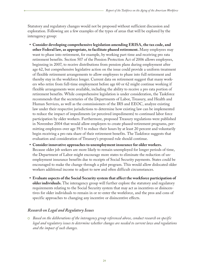Statutory and regulatory changes would not be proposed without sufficient discussion and exploration. Following are a few examples of the types of areas that will be explored by the interagency group:

- **• Consider developing comprehensive legislation amending ERISA, the tax code, and other Federal law, as appropriate, to facilitate phased retirement.** Many employees may want to phase into retirement, for example, by working part time and receiving pro rata retirement benefits. Section 507 of the Pension Protection Act of 2006 allows employees, beginning in 2007, to receive distributions from pension plans during employment after age 62, but comprehensive legislative action on the issue could provide a uniform treatment of flexible retirement arrangements to allow employees to phase into full retirement and thereby stay in the workforce longer. Current data on retirement suggest that many workers who retire from full-time employment before age 60 or 62 might continue working if flexible arrangements were available, including the ability to receive a pro rata portion of retirement benefits. While comprehensive legislation is under consideration, the Taskforce recommends that the secretaries of the Departments of Labor, Treasury, and Health and Human Services, as well as the commissioners of the IRS and EEOC, analyze existing law under their respective jurisdictions to determine how existing law can be implemented to reduce the impact of impediments (or perceived impediments) to continued labor force participation by older workers. Furthermore, proposed Treasury regulations were published in November 2004 that would allow employers to create phased-retirement programs, permitting employees over age 59.5 to reduce their hours by at least 20 percent and voluntarily begin receiving a pro rata share of their retirement benefits. The Taskforce suggests that evaluation and consideration of Treasury's proposed rule should continue.
- **• Consider innovative approaches to unemployment insurance for older workers.** Because older job seekers are more likely to remain unemployed for longer periods of time, the Department of Labor might encourage more states to eliminate the reduction of unemployment insurance benefits due to receipts of Social Security payments. States could be encouraged to make the change through a pilot program. This would allow dislocated older workers additional income to adjust to new and often difficult circumstances.
- **• Evaluate aspects of the Social Security system that affect the workforce participation of older individuals.** The interagency group will further explore the statutory and regulatory requirements relating to the Social Security system that may act as incentives or disincentives for older individuals to remain in or re-enter the workforce, and the pros and cons of specific approaches to changing any incentive or disincentive effects.

## *Research on Legal and Regulatory Issues*

 *Based on the deliberations of the interagency group referenced above, conduct research on specific legal and regulatory issues to determine whether changes are needed to current laws and regulations and the impact of such changes.*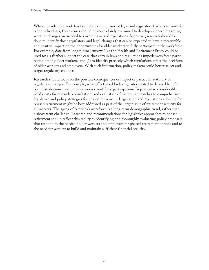While considerable work has been done on the issue of legal and regulatory barriers to work for older individuals, these issues should be more closely examined to develop evidence regarding whether changes are needed to current laws and regulations. Moreover, research should be done to identify those regulatory and legal changes that can be expected to have a measurable and positive impact on the opportunities for older workers to fully participate in the workforce. For example, data from longitudinal surveys like the Health and Retirement Study could be used to: (1) further support the case that certain laws and regulations impede workforce participation among older workers; and (2) to identify precisely which regulations affect the decisions of older workers and employers. With such information, policy makers could better select and target regulatory changes.

Research should focus on the possible consequences or impact of particular statutory or regulatory changes. For example, what effect would relaxing rules related to defined benefit plan distributions have on older worker workforce participation? In particular, considerable need exists for research, consultation, and evaluation of the best approaches to comprehensive legislative and policy strategies for phased retirement. Legislation and regulations allowing for phased retirement might be best addressed as part of the larger issue of retirement security for all workers. The aging of America's workforce is a long-term demographic trend, rather than a short-term challenge. Research and recommendations for legislative approaches to phased retirement should reflect this reality by identifying and thoroughly evaluating policy proposals that respond to the needs of older workers and employers for phased-retirement options and to the need for workers to build and maintain sufficient financial security.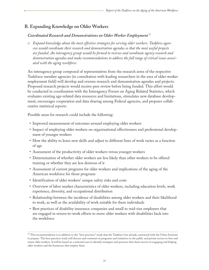## **B. Expanding Knowledge on Older Workers**

## *Coordinated Research and Demonstrations on Older Worker Employment*  73

 *Expand knowledge about the most effective strategies for serving older workers. Taskforce agencies would coordinate their research and demonstration agendas so that the most useful projects are funded. An interagency group would be formed to oversee and coordinate agency research and demonstration agendas and make recommendations to address the full range of critical issues associated with the aging workforce.*

An interagency group composed of representatives from the research arms of the respective Taskforce member agencies (in consultation with leading researchers in the area of older worker employment field) will develop and oversee research and demonstration agendas and projects. Proposed research projects would receive peer review before being funded. This effort would be conducted in coordination with the Interagency Forum on Aging Related Statistics, which evaluates existing age-related data resources and limitations, stimulates new database development, encourages cooperation and data sharing among Federal agencies, and prepares collaborative statistical reports.

Possible areas for research could include the following:

- • Improved measurement of outcomes around employing older workers
- • Impact of employing older workers on organizational effectiveness and professional development of younger workers
- • How the ability to learn new skills and adjust to different lines of work varies as a function of age
- Assessment of the productivity of older workers versus younger workers
- • Determination of whether older workers are less likely than other workers to be offered training or whether they are less desirous of it
- • Assessment of current programs for older workers and implications of the aging of the American workforce for those programs
- Identification of older workers' unique safety risks and costs
- • Overview of labor market characteristics of older workers, including education levels, work experience, diversity, and occupational distribution
- Relationship between the incidence of disabilities among older workers and their likelihood to work, as well as the availability of work suitable for these individuals
- Best practices of disability insurance companies and small to mid-size employers that are engaged in return-to-work efforts to move older workers with disabilities back into the workforce

 $^{73}$  This recommendation is in addition to the "best practices" study that the Taskforce has already contracted with the Urban Institute to prepare. The best practices study will discuss and comment on programs and initiatives in the public and private sectors to hire and retain older workers. It will be based on a national scan to identify strategies and practices that show success in engaging and helping older workers and the businesses that employ them.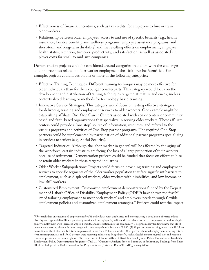- Effectiveness of financial incentives, such as tax credits, for employers to hire or train older workers
- Relationship between older employees' access to and use of specific benefits (e.g., health insurance, flexible benefit plans, wellness programs, employee assistance programs, and short-term and long-term disability) and the resulting effects on employment, employee health status, retention, turnover, productivity, and satisfaction, as well as associated employer costs for small to mid-size companies

Demonstration projects could be considered around categories that align with the challenges and opportunities related to older worker employment the Taskforce has identified. For example, projects could focus on one or more of the following categories:

- Effective Training Techniques: Different training techniques may be more effective for older individuals than for their younger counterparts. This category would focus on the development and distribution of training techniques targeted at mature audiences, such as contextualized learning or methods for technology-based training.
- Innovative Service Strategies: This category would focus on testing effective strategies for delivering training and employment services to older workers. One example might be establishing affiliate One-Stop Career Centers associated with senior centers or communitybased and faith-based organizations that specialize in serving older workers. These affiliate centers could provide a "one stop" source of information, resources, and referral to the various programs and activities of One-Stop partner programs. The required One-Stop partners could be supplemented by participation of additional partner programs specializing in services to seniors (e.g., Social Security).
- Targeted Industries: Although the labor market in general will be affected by the aging of the workforce, certain industries are facing the loss of a large proportion of their workers because of retirement. Demonstration projects could be funded that focus on efforts to hire or retain older workers in these targeted industries.
- Older Worker Subpopulations: Projects could focus on providing training and employment services to specific segments of the older worker population that face significant barriers to employment, such as displaced workers, older workers with disabilities, and low-income or low-skill workers.
- • Customized Employment: Customized employment demonstrations funded by the Department of Labor's Office of Disability Employment Policy (ODEP) have shown the feasibility of tailoring employment to meet both workers' and employers' needs through flexible employment policies and customized employment strategies.<sup>74</sup> Projects could test the impact

<sup>74</sup> Research data on customized employment for 535 individuals with disabilities and encompassing a population of varied ethnic diversity and types of disabilities, previously considered unemployable, validate the fact that customized employment produces highquality employment with increased wages, benefits, and integration into the community. The preliminary findings show that (1) 96 percent were earning above minimum wage, with an average hourly income of \$8.60; (2) 40 percent were earning more than \$8.15 per hour; (3) one-third obtained full-time employment (more than 35 hours a week); (4) 63 percent obtained employment offering future advancement potential; and (5) 30 percent were receiving at least one fringe benefit, such as health insurance, paid sick and vacation time, and pension or retirement plans (U.S. Department of Labor, Office of Disability Employment Policy, Evaluation of Disability Employment Policy Demonstration Programs—Task 11, "Outcomes Analysis Project: Summary of Preliminary Findings from Phase III of the Independent Evaluation—Interim Progress Report," Westat, Rockville, MD, January 2006).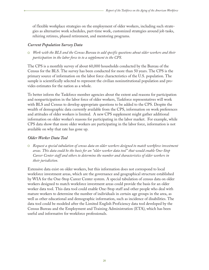of flexible workplace strategies on the employment of older workers, including such strategies as alternative work schedules, part-time work, customized strategies around job tasks, rehiring retirees, phased retirement, and mentoring programs.

### *Current Population Survey Data*

 *Work with the BLS and the Census Bureau to add specific questions about older workers and their participation in the labor force to to a supplement to the CPS.*

The CPS is a monthly survey of about 60,000 households conducted by the Bureau of the Census for the BLS. The survey has been conducted for more than 50 years. The CPS is the primary source of information on the labor force characteristics of the U.S. population. The sample is scientifically selected to represent the civilian noninstitutional population and provides estimates for the nation as a whole.

To better inform the Taskforce member agencies about the extent and reasons for participation and nonparticipation in the labor force of older workers, Taskforce representatives will work with BLS and Census to develop appropriate questions to be added to the CPS. Despite the wealth of demographic data currently available from the CPS, information on work preferences and attitudes of older workers is limited. A new CPS supplement might gather additional information on older worker's reasons for participating in the labor market. For example, while CPS data show that more older workers are participating in the labor force, information is not available on why that rate has gone up.

## *Older Worker Data Tool*

 *Request a special tabulation of census data on older workers designed to match workforce investment areas. This data could be the basis for an "older worker data tool" that would enable One-Stop Career Center staff and others to determine the number and characteristics of older workers in their jurisdiction.* 

Extensive data exist on older workers, but this information does not correspond to local workforce investment areas, which are the governance and geographical structure established by WIA for the One-Stop Career Center system. A special tabulation of census data on older workers designed to match workforce investment areas could provide the basis for an older worker data tool. This data tool could enable One-Stop staff and other people who deal with mature workers to determine the number of individuals in certain age groups in the area, as well as other educational and demographic information, such as incidence of disabilities. The data tool could be modeled after the Limited English Proficiency data tool developed by the Census Bureau and the Employment and Training Administration (ETA), which has been useful and informative for workforce professionals.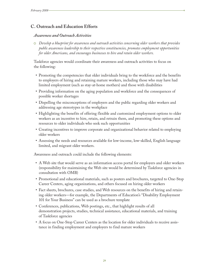## **C. Outreach and Education Efforts**

#### *Awareness and Outreach Activities*

 *Develop a blueprint for awareness and outreach activities concerning older workers that provides public awareness leadership to their respective constituencies, promotes employment opportunities for older Americans, and encourages businesses to hire and retain older workers.* 

Taskforce agencies would coordinate their awareness and outreach activities to focus on the following:

- Promoting the competencies that older individuals bring to the workforce and the benefits to employers of hiring and retaining mature workers, including those who may have had limited employment (such as stay-at-home mothers) and those with disabilities
- Providing information on the aging population and workforce and the consequences of possible worker shortages
- • Dispelling the misconceptions of employers and the public regarding older workers and addressing age stereotypes in the workplace
- Highlighting the benefits of offering flexible and customized employment options to older workers as an incentive to hire, retain, and retrain them, and promoting these options and resources to older individuals who seek such opportunities
- • Creating incentives to improve corporate and organizational behavior related to employing older workers
- • Assessing the needs and resources available for low-income, low-skilled, English language limited, and migrant older workers.

Awareness and outreach could include the following elements:

- A Web site that would serve as an information access portal for employers and older workers (responsibility for maintaining the Web site would be determined by Taskforce agencies in consultation with OMB)
- • Promotional and educational materials, such as posters and brochures, targeted to One-Stop Career Centers, aging organizations, and others focused on hiring older workers
- Fact sheets, brochures, case studies, and Web resources on the benefits of hiring and retaining older workers—for example, the Departments of Education's "Disability Employment 101 for Your Business" can be used as a brochure template
- • Conferences, publications, Web postings, etc., that highlight results of all demonstration projects, studies, technical assistance, educational materials, and training of Taskforce agencies
- A focus on One-Stop Career Centers as the location for older individuals to receive assistance in finding employment and employers to find mature workers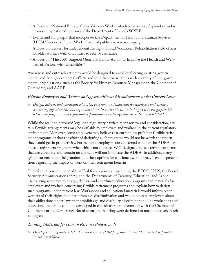- A focus on "National Employ Older Workers Week," which occurs every September and is promoted by national sponsors of the Department of Labor's SCSEP
- • Events and campaigns that incorporate the Department of Health and Human Services (HHS) "America's Oldest Worker" annual public awareness campaign
- A focus on Centers for Independent Living and local Vocational Rehabilitation field offices for older workers with disabilities to receive assistance
- A focus on "The 2005 Surgeon General's Call to Action to Improve the Health and Wellness of Persons with Disabilities"

Awareness and outreach activities would be designed to avoid duplicating existing governmental and non-governmental efforts and to utilize partnerships with a variety of non-governmental organizations, such as the Society for Human Resource Management, the Chamber of Commerce, and AARP.

#### *Educate Employers and Workers on Opportunities and Requirements under Current Laws*

 *Design, deliver, and coordinate education programs and materials for employers and workers concerning opportunities and requirements under current laws, including how to design flexible retirement programs and rights and responsibilities under age discrimination and related laws.* 

While the real and perceived legal and regulatory barriers merit review and consideration, certain flexible arrangements may be available to employers and workers in the current regulatory environment. Moreover, some employers may believe that current law prohibits flexible retirement programs or that the effort of designing such programs would not be worth the return they would get in productivity. For example, employers are concerned whether the ADEA bars phased-retirement programs when this is not the case. Well-designed phased-retirement plans that are voluntary and contain no age caps will not implicate the ADEA. In addition, many aging workers do not fully understand their options for continued work or may have misperceptions regarding the impact of work on their retirement benefits.

Therefore, it is recommended that Taskforce agencies—including the EEOC; HHS; the Social Security Administration (SSA); and the Departments of Treasury, Education, and Labor use existing resources to design, deliver, and coordinate education programs and materials for employers and workers concerning flexible retirement programs and explain how to design such programs under current law. Workshops and educational materials would inform older workers of their rights to be free from age discrimination and would educate employers about their obligations under laws that prohibit age and disability discrimination. The workshops and educational materials could be developed in consultation or partnership with the Chamber of Commerce or the Conference Board to ensure that they were designed to most effectively reach employers.

## *Training Materials for Human Resource Professionals*

 *Develop training materials for human resources (HR) professionals about how to best respond to an older workforce.*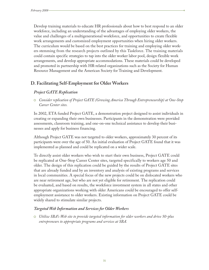Develop training materials to educate HR professionals about how to best respond to an older workforce, including an understanding of the advantages of employing older workers, the value and challenges of a multigenerational workforce, and opportunities to create flexible work arrangements and customized employment opportunities when hiring older workers. The curriculum would be based on the best practices for training and employing older workers stemming from the research projects outlined by this Taskforce. The training materials could contain specific strategies to tap into the older worker labor pool, design flexible work arrangements, and develop appropriate accommodations. These materials could be developed and promoted in partnership with HR-related organizations such as the Society for Human Resource Management and the American Society for Training and Development.

## **D. Facilitating Self-Employment for Older Workers**

#### *Project GATE Replication*

*Consider replication of Project GATE (Growing America Through Entrepreneurship) at One-Stop Career Center sites.* 

In 2002, ETA funded Project GATE, a demonstration project designed to assist individuals in creating or expanding their own businesses. Participants in the demonstration were provided assessments, classroom training, and one-on-one technical assistance to develop their businesses and apply for business financing.

Although Project GATE was not targeted to older workers, approximately 30 percent of its participants were over the age of 50. An initial evaluation of Project GATE found that it was implemented as planned and could be replicated on a wider scale.

To directly assist older workers who wish to start their own business, Project GATE could be replicated at One-Stop Career Center sites, targeted specifically to workers age 50 and older. The design of this replication could be guided by the results of Project GATE sites that are already funded and by an inventory and analysis of existing programs and services in local communities. A special focus of the new projects could be on dislocated workers who are near retirement age, but who are not yet eligible for retirement. The replication could be evaluated, and based on results, the workforce investment system in all states and other appropriate organizations working with older Americans could be encouraged to offer selfemployment assistance to older workers. Existing information on Project GATE could be widely shared to stimulate similar projects.

#### *Targeted Web Information and Services for Older Workers*

 *Utilize SBA's Web site to provide targeted information for older workers and drive 50-plus entrepreneurs to appropriate programs and services at SBA.*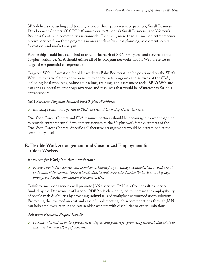SBA delivers counseling and training services through its resource partners, Small Business Development Centers, SCORE® (Counselor's to America's Small Business), and Women's Business Centers in communities nationwide. Each year, more than 1.1 million entrepreneurs receive services from these programs in areas such as business planning, assessment, capital formation, and market analysis.

Partnerships could be established to extend the reach of SBA's programs and services to this 50-plus workforce. SBA should utilize all of its program networks and its Web presence to target these potential entrepreneurs.

Targeted Web information for older workers (Baby Boomers) can be positioned on the SBA's Web site to drive 50-plus entrepreneurs to appropriate programs and services of the SBA, including local resources, online counseling, training, and assessment tools. SBA's Web site can act as a portal to other organizations and resources that would be of interest to 50-plus entrepreneurs.

### *SBA Services Targeted Toward the 50-plus Workforce*

*Encourage access and referrals to SBA resources at One-Stop Career Centers.*

One-Stop Career Centers and SBA resource partners should be encouraged to work together to provide entrepreneurial development services to the 50-plus workforce customers of the One-Stop Career Centers. Specific collaborative arrangements would be determined at the community level.

## **E. Flexible Work Arrangements and Customized Employment for Older Workers**

#### *Resources for Workplace Accommodations*

 *Promote available resources and technical assistance for providing accommodations to both recruit and retain older workers (those with disabilities and those who develop limitations as they age) through the Job Accommodation Network (JAN).* 

Taskforce member agencies will promote JAN's services. JAN is a free consulting service funded by the Department of Labor's ODEP, which is designed to increase the employability of people with disabilities by providing individualized workplace accommodations solutions. Promoting the low median cost and ease of implementing job accommodations through JAN can help employers recruit and retain older workers with disabilities or other limitations.

#### *Telework Research Project Results*

 *Provide information on best practices, strategies, and policies for promoting telework that relate to older workers and other populations.*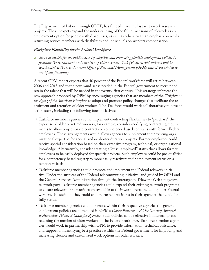The Department of Labor, through ODEP, has funded three multiyear telework research projects. These projects expand the understanding of the full dimensions of telework as an employment option for people with disabilities, as well as others, with an emphasis on newly returning service members with disabilities and individuals on workers compensation.

#### *Workplace Flexibility for the Federal Workforce*

 *Serve as models for the public sector by adopting and promoting flexible employment policies to facilitate the recruitment and retention of older workers. Such policies would embrace and be coordinated with several current Office of Personnel Management (OPM) initiatives related to workplace flexibility.*

A recent OPM report expects that 40 percent of the Federal workforce will retire between 2006 and 2015 and that a new mind-set is needed in the Federal government to recruit and retain the talent that will be needed in the twenty-first century. This strategy embraces the new approach proposed by OPM by encouraging agencies that are members of the *Taskforce on the Aging of the American Workforce* to adopt and promote policy changes that facilitate the recruitment and retention of older workers. The Taskforce would work collaboratively to develop action steps, including the following four initiatives:

- Taskforce member agencies could implement contracting flexibilities to "purchase" the expertise of older or retired workers, for example, consider modifying contracting requirements to allow project-based contracts or competency-based contracts with former Federal employees. These arrangements would allow agencies to supplement their existing organizational expertise for specialized or shorter duration projects. Former employees could receive special consideration based on their extensive program, technical, or organizational knowledge. Alternatively, consider creating a "quasi-employed" status that allows former employees to be easily deployed for specific projects. Such employees could be pre-qualified for a competency-based registry to more easily reactivate their employment status on a temporary basis.
- Taskforce member agencies could promote and implement the Federal telework initiative. Under the auspices of the Federal telecommuting initiative, and guided by OPM and the General Services Administration through the Interagency Telework Web site (www. telework.gov), Taskforce member agencies could expand their existing telework programs to ensure telework opportunities are available to their workforces, including older Federal workers. In addition, they could explore current positions in their agencies that could be fully virtual.
- Taskforce member agencies could promote within their respective agencies the general employment policies recommended in OPM's *Career Patterns—A 21st Century Approach to Attracting Talent: A Guide for Agencies.* Such policies can be effective in increasing and retaining the number of older workers in the Federal workforce. Taskforce member agencies would work in partnership with OPM to provide information, technical assistance, and support on identifying best practices within the Federal government for improving and increasing flexible and customized work options for older workers.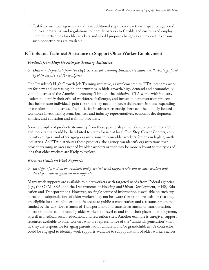• Taskforce member agencies could take additional steps to review their respective agencies' policies, programs, and regulations to identify barriers to flexible and customized employment opportunities for older workers and would propose changes as appropriate to ensure such opportunities are available.

## **F. Tools and Technical Assistance to Support Older Worker Employment**

#### *Products from High Growth Job Training Initiative*

 *Disseminate products from the High Growth Job Training Initiative to address skills shortages faced by older members of the workforce.*

The President's High Growth Job Training initiative, as implemented by ETA, prepares workers for new and increasing job opportunities in high-growth/high-demand and economically vital industries of the American economy. Through the initiative, ETA works with industry leaders to identify their critical workforce challenges, and invests in demonstration projects that help ensure individuals gain the skills they need for successful careers in these expanding or transforming industries. The initiative involves partnerships between the publicly funded workforce investment system, business and industry representatives, economic development entities, and education and training providers.

Some examples of products stemming from these partnerships include curriculum, research, and toolkits that could be distributed to states for use at local One-Stop Career Centers, community colleges, and other aging organizations to train older workers for jobs in high-growth industries. As ETA distributes these products, the agency can identify organizations that provide training in areas needed by older workers or that may be more relevant to the types of jobs that older workers are likely to explore.

## *Resource Guide on Work Supports*

 *Identify information on available and potential work supports relevant to older workers and develop a resource guide on such supports.*

Many work supports are available to older workers with targeted needs from Federal agencies (e.g., the OPM, SSA, and the Departments of Housing and Urban Development, HHS, Education and Transportation). However, no single source of information is available on such supports, and subpopulations of older workers may not be aware these supports exist or that they are eligible for them. One example is access to public transportation and assistance programs funded by the U.S. Department of Transportation and state departments of transportation. These programs can be used by older workers to travel to and from their places of employment, as well as medical, social, education, and recreation sites. Another example is caregiver support resources available to older workers who are representative of the "sandwich generation" (that is, they are responsible for aging parents, adult children, and/or grandchildren). A contractor could be engaged to identify work supports available to subpopulations of older workers across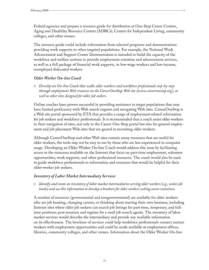Federal agencies and prepare a resource guide for distribution at One-Stop Career Centers, Aging and Disability Resource Centers (ADRCs), Centers for Independent Living, community colleges, and other venues.

The resource guide could include information from selected programs and demonstrations providing work supports to other targeted populations. For example, the National Work Advancement and Support Center Demonstration is intended to build the capacity of the workforce and welfare systems to provide employment retention and advancement services, as well as a full package of financial work supports, to low-wage workers and low-income, reemployed dislocated workers.

#### *Older Worker On-line Coach*

*Develop an On-line Coach that walks older workers and workforce professionals step-by-step through employment Web resources on the CareerOneStop Web site (www.careeronestop.org), as well as other sites designed for older job seekers.*

Online coaches have proven successful in providing assistance to target populations that may have limited proficiency with Web search engines and navigating Web sites. CareerOneStop is a Web site portal sponsored by ETA that provides a range of employment-related information for job seekers and workforce professionals. It is recommended that a coach assist older workers in their navigation of sites, not only in the Career One-Stop portal but also for general employment and job placement Web sites that are geared to recruiting older workers.

Although CareerOneStop and other Web sites contain many resources that are useful for older workers, the tools may not be easy to use by those who are less experienced in computer usage. Developing an Older Worker On-line Coach would address this issue by facilitating access to the resources available on the Internet that focus on part-time employment, volunteer opportunities, work supports, and other professional resources. The coach would also be used to guide workforce professionals to information and resources that would be helpful for their older-worker job seekers.

#### *Inventory of Labor Market Intermediary Services*

*Identify and create an inventory of labor market intermediaries serving older workers (e.g., senior job banks) and use this information to develop a brochure for older workers seeking career transtions.* 

A number of resources (governmental and nongovernmental) are available for older workers who are job hunting, changing careers, or thinking about starting their own business, including Internet sites where older job seekers can search job listings for part-time, temporary, and fulltime positions; post resumes; and register for e-mail job search agents. The inventory of labor market services would describe the intermediary and provide any available information on its effectiveness. The brochure of services could help workforce professionals connect mature workers with employment opportunities and could be made available at employment offices, libraries, community colleges, and other venues. Information about the Older Worker On-line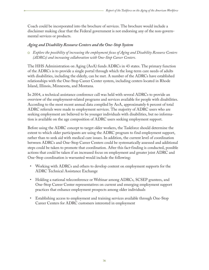Coach could be incorporated into the brochure of services. The brochure would include a disclaimer making clear that the Federal government is not endorsing any of the non-governmental services or products.

### *Aging and Disability Resource Centers and the One-Stop System*

*Explore the possibility of increasing the employment focus of Aging and Disability Resource Centers (ADRCs) and increasing collaboration with One-Stop Career Centers.* 

The HHS Administration on Aging (AoA) funds ADRCs in 43 states. The primary function of the ADRCs is to provide a single portal through which the long-term care needs of adults with disabilities, including the elderly, can be met. A number of the ADRCs have established relationships with the One-Stop Career Center system, including centers located in Rhode Island, Illinois, Minnesota, and Montana.

In 2004, a technical assistance conference call was held with several ADRCs to provide an overview of the employment-related programs and services available for people with disabilities. According to the most recent annual data compiled by AoA, approximately 6 percent of total ADRC referrals were made to employment services. The majority of ADRC users who are seeking employment are believed to be younger individuals with disabilities, but no information is available on the age composition of ADRC users seeking employment support.

Before using the ADRC concept to target older workers, the Taskforce should determine the extent to which older participants are using the ADRC program to find employment support, rather than to seek aid with medical care issues. In addition, the current level of coordination between ADRCs and One-Stop Career Centers could be systematically assessed and additional steps could be taken to promote that coordination. After this fact-finding is conducted, possible actions that could be taken if an increased focus on employment and greater joint ADRC and One-Stop coordination is warranted would include the following:

- • Working with ADRCs and others to develop content on employment supports for the ADRC Technical Assistance Exchange
- Holding a national teleconference or Webinar among ADRCs, SCSEP grantees, and One-Stop Career Center representatives on current and emerging employment support practices that enhance employment prospects among older individuals
- Establishing access to employment and training services available through One-Stop Career Centers for ADRC customers interested in employment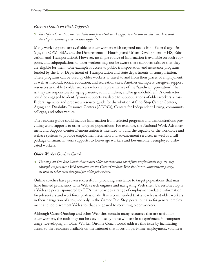#### *Resource Guide on Work Supports*

 *Identify information on available and potential work supports relevant to older workers and develop a resource guide on such supports.*

Many work supports are available to older workers with targeted needs from Federal agencies (e.g., the OPM, SSA, and the Departments of Housing and Urban Development, HHS, Education, and Transportation). However, no single source of information is available on such supports, and subpopulations of older workers may not be aware these supports exist or that they are eligible for them. One example is access to public transportation and assistance programs funded by the U.S. Department of Transportation and state departments of transportation. These programs can be used by older workers to travel to and from their places of employment, as well as medical, social, education, and recreation sites. Another example is caregiver support resources available to older workers who are representative of the "sandwich generation" (that is, they are responsible for aging parents, adult children, and/or grandchildren). A contractor could be engaged to identify work supports available to subpopulations of older workers across Federal agencies and prepare a resource guide for distribution at One-Stop Career Centers, Aging and Disability Resource Centers (ADRCs), Centers for Independent Living, community colleges, and other venues.

The resource guide could include information from selected programs and demonstrations providing work supports to other targeted populations. For example, the National Work Advancement and Support Center Demonstration is intended to build the capacity of the workforce and welfare systems to provide employment retention and advancement services, as well as a full package of financial work supports, to low-wage workers and low-income, reemployed dislocated workers.

#### *Older Worker On-line Coach*

 *Develop an On-line Coach that walks older workers and workforce professionals step-by-step through employment Web resources on the CareerOneStop Web site (www.careeronestop.org), as well as other sites designed for older job seekers.*

Online coaches have proven successful in providing assistance to target populations that may have limited proficiency with Web search engines and navigating Web sites. CareerOneStop is a Web site portal sponsored by ETA that provides a range of employment-related information for job seekers and workforce professionals. It is recommended that a coach assist older workers in their navigation of sites, not only in the Career One-Stop portal but also for general employment and job placement Web sites that are geared to recruiting older workers.

Although CareerOneStop and other Web sites contain many resources that are useful for older workers, the tools may not be easy to use by those who are less experienced in computer usage. Developing an Older Worker On-line Coach would address this issue by facilitating access to the resources available on the Internet that focus on part-time employment, volunteer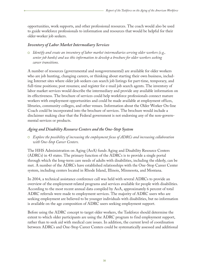opportunities, work supports, and other professional resources. The coach would also be used to guide workforce professionals to information and resources that would be helpful for their older-worker job seekers.

#### *Inventory of Labor Market Intermediary Services*

 *Identify and create an inventory of labor market intermediaries serving older workers (e.g., senior job banks) and use this information to develop a brochure for older workers seeking career transitions.* 

A number of resources (governmental and nongovernmental) are available for older workers who are job hunting, changing careers, or thinking about starting their own business, including Internet sites where older job seekers can search job listings for part-time, temporary, and full-time positions; post resumes; and register for e-mail job search agents. The inventory of labor market services would describe the intermediary and provide any available information on its effectiveness. The brochure of services could help workforce professionals connect mature workers with employment opportunities and could be made available at employment offices, libraries, community colleges, and other venues. Information about the Older Worker On-line Coach could be incorporated into the brochure of services. The brochure would include a disclaimer making clear that the Federal government is not endorsing any of the non-governmental services or products.

## *Aging and Disability Resource Centers and the One-Stop System*

 *Explore the possibility of increasing the employment focus of ADRCs and increasing collaboration with One-Stop Career Centers.* 

The HHS Administration on Aging (AoA) funds Aging and Disability Resource Centers (ADRCs) in 43 states. The primary function of the ADRCs is to provide a single portal through which the long-term care needs of adults with disabilities, including the elderly, can be met. A number of the ADRCs have established relationships with the One-Stop Career Center system, including centers located in Rhode Island, Illinois, Minnesota, and Montana.

In 2004, a technical assistance conference call was held with several ADRCs to provide an overview of the employment-related programs and services available for people with disabilities. According to the most recent annual data compiled by AoA, approximately 6 percent of total ADRC referrals were made to employment services. The majority of ADRC users who are seeking employment are believed to be younger individuals with disabilities, but no information is available on the age composition of ADRC users seeking employment support.

Before using the ADRC concept to target older workers, the Taskforce should determine the extent to which older participants are using the ADRC program to find employment support, rather than to seek aid with medical care issues. In addition, the current level of coordination between ADRCs and One-Stop Career Centers could be systematically assessed and additional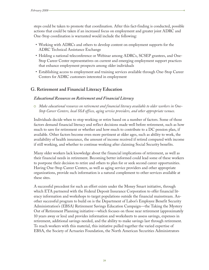steps could be taken to promote that coordination. After this fact-finding is conducted, possible actions that could be taken if an increased focus on employment and greater joint ADRC and One-Stop coordination is warranted would include the following:

- Working with ADRCs and others to develop content on employment supports for the ADRC Technical Assistance Exchange
- Holding a national teleconference or Webinar among ADRCs, SCSEP grantees, and One-Stop Career Center representatives on current and emerging employment support practices that enhance employment prospects among older individuals
- Establishing access to employment and training services available through One-Stop Career Centers for ADRC customers interested in employment

## **G. Retirement and Financial Literacy Education**

### *Educational Resources on Retirement and Financial Literacy*

*Make educational resources on retirement and financial literacy available to older workers in One-Stop Career Centers, local SSA offices, aging service providers, and other appropriate venues.*

Individuals decide when to stop working or retire based on a number of factors. Some of those factors demand financial literacy and reflect decisions made well before retirement, such as how much to save for retirement or whether and how much to contribute to a DC pension plan, if available. Other factors become even more pertinent at older ages, such as ability to work, the availability of health insurance, the amount of income received if retired compared with income if still working, and whether to continue working after claiming Social Security benefits.

Many older workers lack knowledge about the financial implications of retirement, as well as their financial needs in retirement. Becoming better informed could lead some of these workers to postpone their decision to retire and others to plan for or seek second career opportunities. Having One-Stop Career Centers, as well as aging service providers and other appropriate organizations, provide such information is a natural complement to other services available at these sites.

A successful precedent for such an effort exists under the Money Smart initiative, through which ETA partnered with the Federal Deposit Insurance Corporation to offer financial literacy information and workshops to target populations outside the financial mainstream. Another successful program to build on is the Department of Labor's Employee Benefit Security Administration's (EBSA) Retirement Savings Education Campaign—the Taking the Mystery Out of Retirement Planning initiative—which focuses on those near retirement (approximately 10 years away or less) and provides information and worksheets to assess savings, expenses in retirement, additional savings needed, and the ability to make savings last through retirement. To reach workers with this material, this initiative pulled together the varied expertise of EBSA, the Society of Actuaries Foundation, the North American Securities Administrators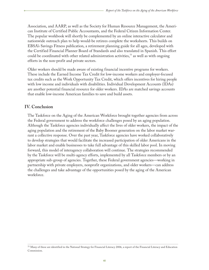Association, and AARP, as well as the Society for Human Resource Management, the American Institute of Certified Public Accountants, and the Federal Citizen Information Center. The popular workbook will shortly be complemented by an online interactive calculator and nationwide outreach plan to help would-be retirees complete the worksheets. This builds on EBSA's Savings Fitness publication, a retirement planning guide for all ages, developed with the Certified Financial Planner Board of Standards and also translated in Spanish. This effort could be coordinated with other related administration activities,<sup>75</sup> as well as with ongoing efforts in the non-profit and private sectors.

Older workers should be made aware of existing financial incentive programs for workers. These include the Earned Income Tax Credit for low-income workers and employer-focused tax credits such as the Work Opportunity Tax Credit, which offers incentives for hiring people with low income and individuals with disabilities. Individual Development Accounts (IDAs) are another potential financial resource for older workers. IDAs are matched savings accounts that enable low-income American families to save and build assets.

## **IV. Conclusion**

The Taskforce on the Aging of the American Workforce brought together agencies from across the Federal government to address the workforce challenges posed by an aging population. Although the Taskforce agencies individually affect the lives of older workers, the impact of the aging population and the retirement of the Baby Boomer generation on the labor market warrant a collective response. Over the past year, Taskforce agencies have worked collaboratively to develop strategies that would facilitate the increased participation of older Americans in the labor market and enable businesses to take full advantage of this skilled labor pool. In moving forward, this model of interagency collaboration will continue. The strategies recommended by the Taskforce will be multi-agency efforts, implemented by all Taskforce members or by an appropriate sub-group of agencies. Together, these Federal government agencies—working in partnership with private employers, nonprofit organizations, and older workers—can address the challenges and take advantage of the opportunities posed by the aging of the American workforce.

<sup>&</sup>lt;sup>75</sup> Many of these are identified in the National Strategy for Financial Literacy 2006, a report of the Financial Literacy and Education Commission.